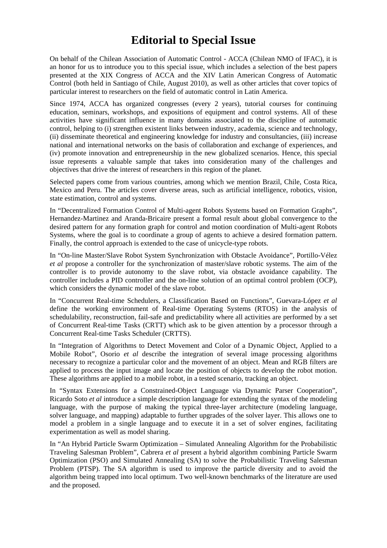## **Editorial to Special Issue**

On behalf of the Chilean Association of Automatic Control - ACCA (Chilean NMO of IFAC), it is an honor for us to introduce you to this special issue, which includes a selection of the best papers presented at the XIX Congress of ACCA and the XIV Latin American Congress of Automatic Control (both held in Santiago of Chile, August 2010), as well as other articles that cover topics of particular interest to researchers on the field of automatic control in Latin America.

Since 1974, ACCA has organized congresses (every 2 years), tutorial courses for continuing education, seminars, workshops, and expositions of equipment and control systems. All of these activities have significant influence in many domains associated to the discipline of automatic control, helping to (i) strengthen existent links between industry, academia, science and technology, (ii) disseminate theoretical and engineering knowledge for industry and consultancies, (iii) increase national and international networks on the basis of collaboration and exchange of experiences, and (iv) promote innovation and entrepreneurship in the new globalized scenarios. Hence, this special issue represents a valuable sample that takes into consideration many of the challenges and objectives that drive the interest of researchers in this region of the planet.

Selected papers come from various countries, among which we mention Brazil, Chile, Costa Rica, Mexico and Peru. The articles cover diverse areas, such as artificial intelligence, robotics, vision, state estimation, control and systems.

In "Decentralized Formation Control of Multi-agent Robots Systems based on Formation Graphs", Hernandez-Martinez and Aranda-Bricaire present a formal result about global convergence to the desired pattern for any formation graph for control and motion coordination of Multi-agent Robots Systems, where the goal is to coordinate a group of agents to achieve a desired formation pattern. Finally, the control approach is extended to the case of unicycle-type robots.

In "On-line Master/Slave Robot System Synchronization with Obstacle Avoidance", Portillo-Vélez *et al* propose a controller for the synchronization of master/slave robotic systems. The aim of the controller is to provide autonomy to the slave robot, via obstacle avoidance capability. The controller includes a PID controller and the on-line solution of an optimal control problem (OCP), which considers the dynamic model of the slave robot.

In "Concurrent Real-time Schedulers, a Classification Based on Functions", Guevara-López *et al* define the working environment of Real-time Operating Systems (RTOS) in the analysis of schedulability, reconstruction, fail-safe and predictability where all activities are performed by a set of Concurrent Real-time Tasks (CRTT) which ask to be given attention by a processor through a Concurrent Real-time Tasks Scheduler (CRTTS).

In "Integration of Algorithms to Detect Movement and Color of a Dynamic Object, Applied to a Mobile Robot", Osorio *et al* describe the integration of several image processing algorithms necessary to recognize a particular color and the movement of an object. Mean and RGB filters are applied to process the input image and locate the position of objects to develop the robot motion. These algorithms are applied to a mobile robot, in a tested scenario, tracking an object.

In "Syntax Extensions for a Constrained-Object Language via Dynamic Parser Cooperation", Ricardo Soto *et al* introduce a simple description language for extending the syntax of the modeling language, with the purpose of making the typical three-layer architecture (modeling language, solver language, and mapping) adaptable to further upgrades of the solver layer. This allows one to model a problem in a single language and to execute it in a set of solver engines, facilitating experimentation as well as model sharing.

In "An Hybrid Particle Swarm Optimization – Simulated Annealing Algorithm for the Probabilistic Traveling Salesman Problem", Cabrera *et al* present a hybrid algorithm combining Particle Swarm Optimization (PSO) and Simulated Annealing (SA) to solve the Probabilistic Traveling Salesman Problem (PTSP). The SA algorithm is used to improve the particle diversity and to avoid the algorithm being trapped into local optimum. Two well-known benchmarks of the literature are used and the proposed.